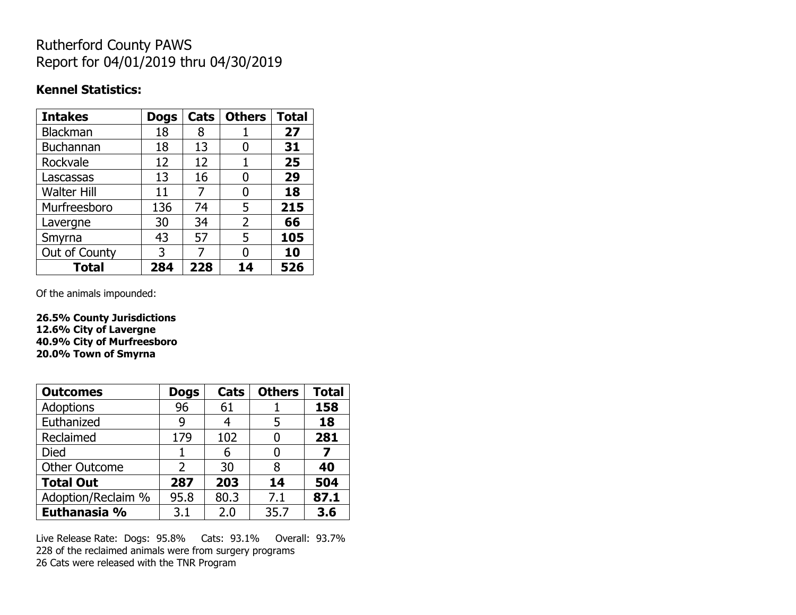# Rutherford County PAWS Report for 04/01/2019 thru 04/30/2019

#### **Kennel Statistics:**

| <b>Intakes</b>     | <b>Dogs</b> | Cats | <b>Others</b>  | <b>Total</b> |
|--------------------|-------------|------|----------------|--------------|
| Blackman           | 18          | 8    |                | 27           |
| <b>Buchannan</b>   | 18          | 13   | O              | 31           |
| Rockvale           | 12          | 12   |                | 25           |
| Lascassas          | 13          | 16   | 0              | 29           |
| <b>Walter Hill</b> | 11          | 7    | 0              | 18           |
| Murfreesboro       | 136         | 74   | 5              | 215          |
| Lavergne           | 30          | 34   | $\overline{2}$ | 66           |
| Smyrna             | 43          | 57   | 5              | 105          |
| Out of County      | 3           | 7    | O              | 10           |
| <b>Total</b>       | 284         | 228  | 14             | 526          |

Of the animals impounded:

**26.5% County Jurisdictions 12.6% City of Lavergne 40.9% City of Murfreesboro 20.0% Town of Smyrna**

| <b>Outcomes</b>      | <b>Dogs</b> | Cats | <b>Others</b> | <b>Total</b> |
|----------------------|-------------|------|---------------|--------------|
| Adoptions            | 96          | 61   |               | 158          |
| Euthanized           | g           |      | 5             | 18           |
| Reclaimed            | 179         | 102  |               | 281          |
| <b>Died</b>          |             | 6    |               | 7            |
| <b>Other Outcome</b> | 2           | 30   | 8             | 40           |
| <b>Total Out</b>     | 287         | 203  | 14            | 504          |
| Adoption/Reclaim %   | 95.8        | 80.3 | 7.1           | 87.1         |
| Euthanasia %         | 3.1         | 2.0  | 35.7          | 3.6          |

Live Release Rate: Dogs: 95.8% Cats: 93.1% Overall: 93.7% 228 of the reclaimed animals were from surgery programs 26 Cats were released with the TNR Program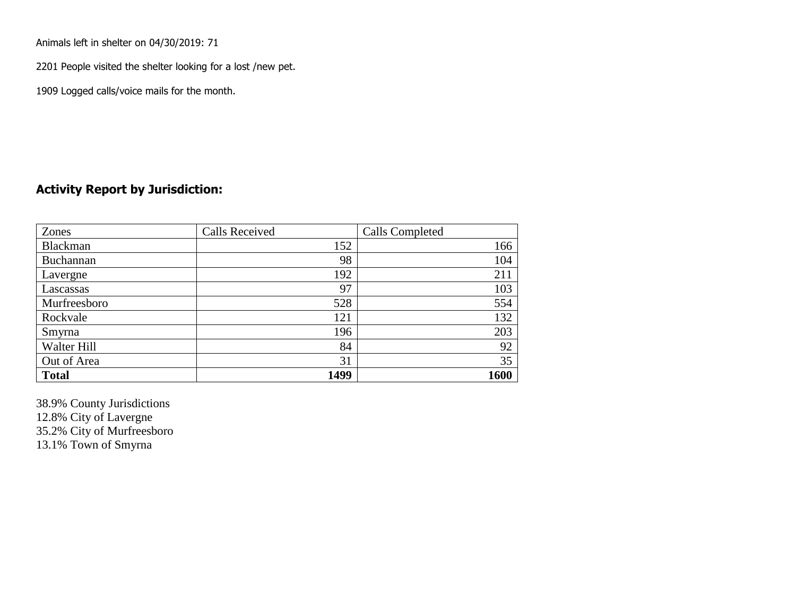Animals left in shelter on 04/30/2019: 71

2201 People visited the shelter looking for a lost /new pet.

1909 Logged calls/voice mails for the month.

#### **Activity Report by Jurisdiction:**

| Zones        | <b>Calls Received</b> | Calls Completed |
|--------------|-----------------------|-----------------|
| Blackman     | 152                   | 166             |
| Buchannan    | 98                    | 104             |
| Lavergne     | 192                   | 211             |
| Lascassas    | 97                    | 103             |
| Murfreesboro | 528                   | 554             |
| Rockvale     | 121                   | 132             |
| Smyrna       | 196                   | 203             |
| Walter Hill  | 84                    | 92              |
| Out of Area  | 31                    | 35              |
| <b>Total</b> | 1499                  | 1600            |

38.9% County Jurisdictions 12.8% City of Lavergne 35.2% City of Murfreesboro 13.1% Town of Smyrna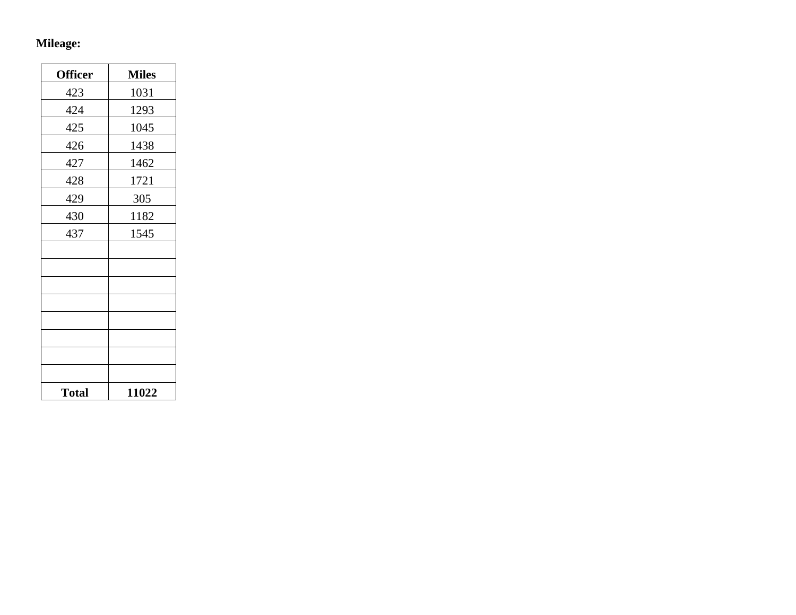## **Mileage:**

| <b>Officer</b> | <b>Miles</b> |
|----------------|--------------|
| 423            | 1031         |
| 424            | 1293         |
| 425            | 1045         |
| 426            | 1438         |
| 427            | 1462         |
| 428            | 1721         |
| 429            | 305          |
| 430            | 1182         |
| 437            | 1545         |
|                |              |
|                |              |
|                |              |
|                |              |
|                |              |
|                |              |
|                |              |
|                |              |
| <b>Total</b>   | 11022        |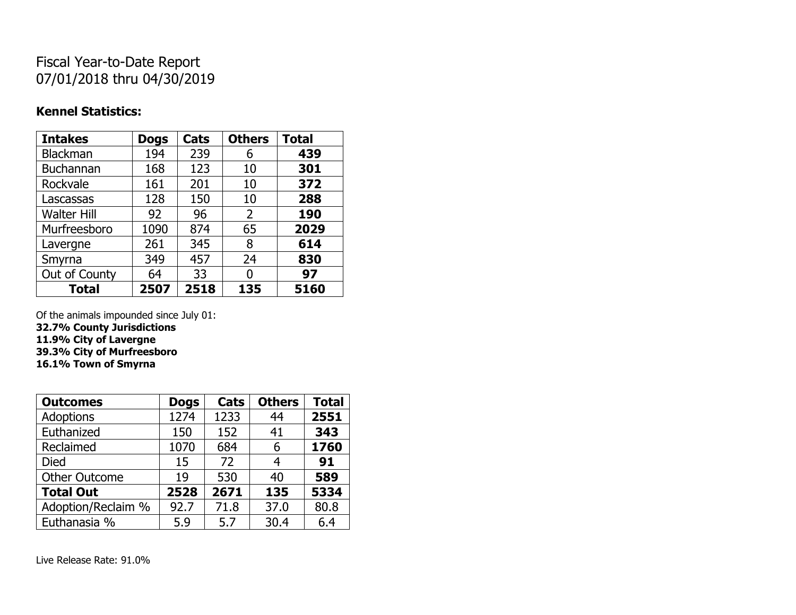# Fiscal Year-to-Date Report 07/01/2018 thru 04/30/2019

### **Kennel Statistics:**

| <b>Intakes</b>     | <b>Dogs</b> | Cats | <b>Others</b> | <b>Total</b> |
|--------------------|-------------|------|---------------|--------------|
| <b>Blackman</b>    | 194         | 239  | 6             | 439          |
| <b>Buchannan</b>   | 168         | 123  | 10            | 301          |
| Rockvale           | 161         | 201  | 10            | 372          |
| Lascassas          | 128         | 150  | 10            | 288          |
| <b>Walter Hill</b> | 92          | 96   | 2             | 190          |
| Murfreesboro       | 1090        | 874  | 65            | 2029         |
| Lavergne           | 261         | 345  | 8             | 614          |
| Smyrna             | 349         | 457  | 24            | 830          |
| Out of County      | 64          | 33   | 0             | 97           |
| <b>Total</b>       | 2507        | 2518 | 135           | 5160         |

Of the animals impounded since July 01:

**32.7% County Jurisdictions**

**11.9% City of Lavergne**

**39.3% City of Murfreesboro**

**16.1% Town of Smyrna**

| <b>Outcomes</b>      | <b>Dogs</b> | Cats | <b>Others</b> | <b>Total</b> |
|----------------------|-------------|------|---------------|--------------|
| <b>Adoptions</b>     | 1274        | 1233 | 44            | 2551         |
| Euthanized           | 150         | 152  | 41            | 343          |
| Reclaimed            | 1070        | 684  | 6             | 1760         |
| <b>Died</b>          | 15          | 72   | 4             | 91           |
| <b>Other Outcome</b> | 19          | 530  | 40            | 589          |
| <b>Total Out</b>     | 2528        | 2671 | 135           | 5334         |
| Adoption/Reclaim %   | 92.7        | 71.8 | 37.0          | 80.8         |
| Euthanasia %         | 5.9         | 5.7  | 30.4          | 6.4          |

Live Release Rate: 91.0%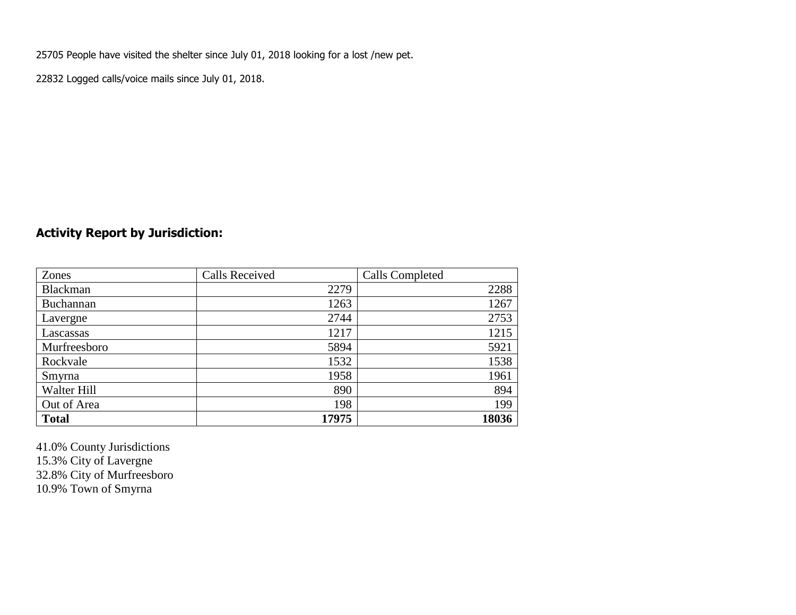25705 People have visited the shelter since July 01, 2018 looking for a lost /new pet.

22832 Logged calls/voice mails since July 01, 2018.

## **Activity Report by Jurisdiction:**

| Zones           | <b>Calls Received</b> | Calls Completed |
|-----------------|-----------------------|-----------------|
| <b>Blackman</b> | 2279                  | 2288            |
| Buchannan       | 1263                  | 1267            |
| Lavergne        | 2744                  | 2753            |
| Lascassas       | 1217                  | 1215            |
| Murfreesboro    | 5894                  | 5921            |
| Rockvale        | 1532                  | 1538            |
| Smyrna          | 1958                  | 1961            |
| Walter Hill     | 890                   | 894             |
| Out of Area     | 198                   | 199             |
| <b>Total</b>    | 17975                 | 18036           |

41.0% County Jurisdictions 15.3% City of Lavergne 32.8% City of Murfreesboro 10.9% Town of Smyrna